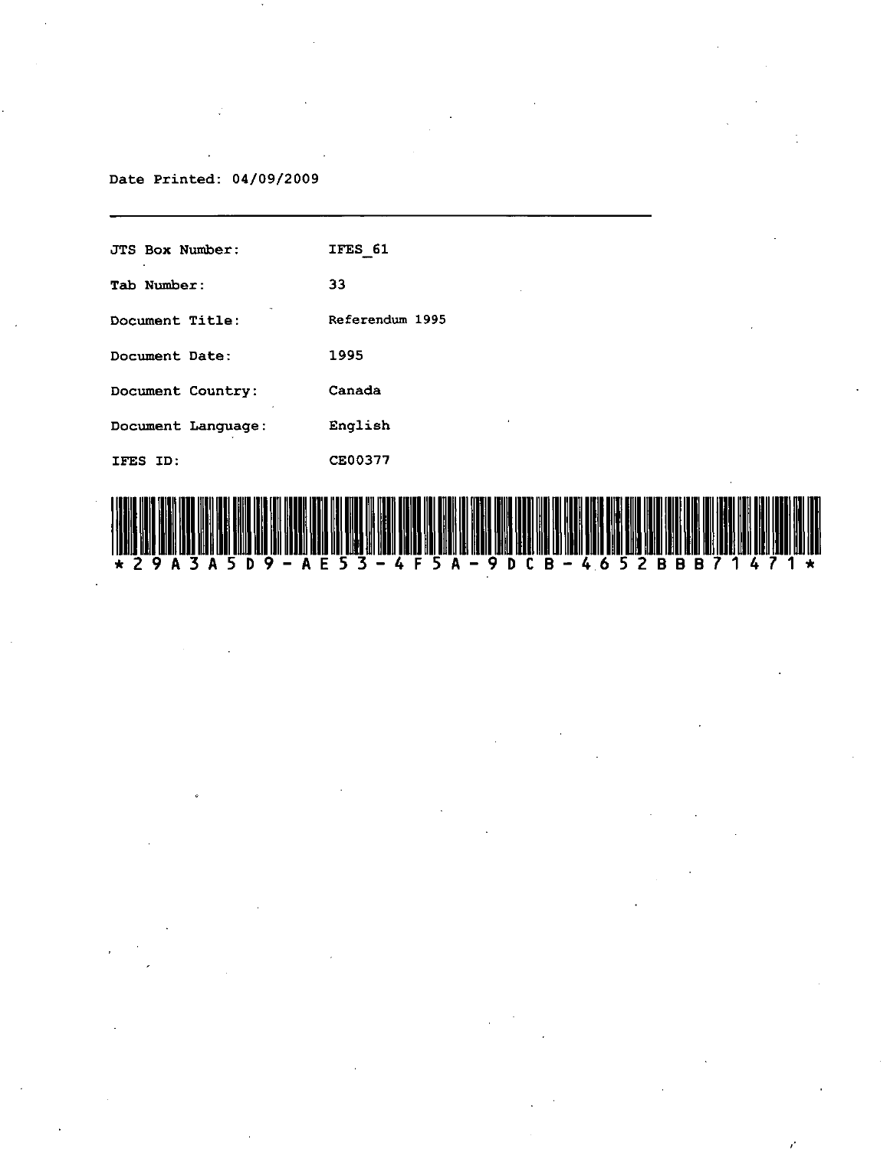#### Date Printed: 04/09/2009

| <b>JTS Box Number:</b> | IFES 61                         |
|------------------------|---------------------------------|
| Tab Number:            | 33                              |
| Document Title:        | Referendum 1995                 |
| Document Date:         | 1995                            |
| Document Country:      | Canada                          |
| Document Language:     | $\ddot{\phantom{a}}$<br>Enqlish |
| IFES ID:               | <b>CE00377</b>                  |

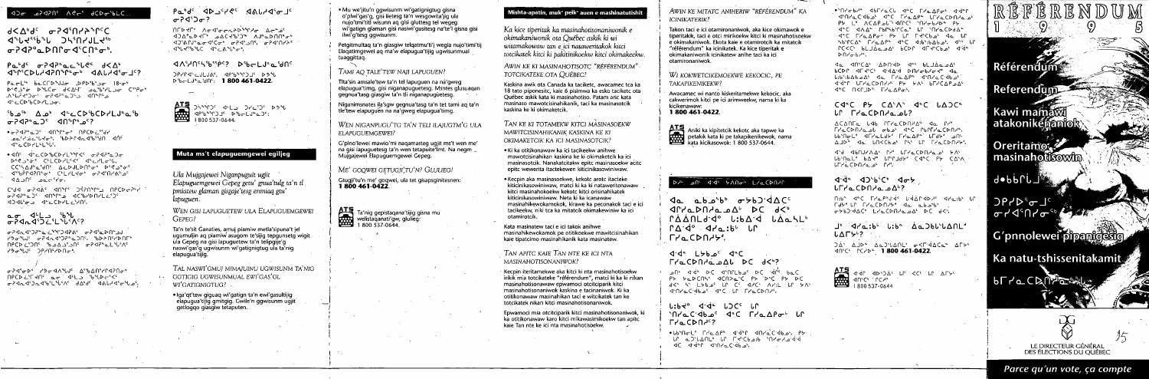# 420 APPNE ARCS dCDosbLC...

**9<V<sub>°</sub>9c** a-SQ'US><sup>PLC</sup> d<sup>®</sup>L d<sup>ss</sup>b®L DhindJL die 

### $Pa^b d^c$   $\sigma P dP^a a c^b L Q^c$   $d \lt \Delta^b$ dersCDLAd2Nemet dALAdsmls2

Parl<sup>is</sup> baCFD<sup>3</sup>JJo DPD5b520 18-0<sup>6</sup> D'SS"& D'UCO d<A'T ba'b'rLoo C''Po'' مثاثاته دخشم وحلائم دمحته نهائه JECDBCDPLS0,

### $\sigma$ 242° $\sigma$ <sup>2</sup> <10° $\sigma$ °25°

ق <del>م</del> کام است است است که است است است که است به است است که است است که است است که است که است است که است است که است<br>است که است است که است است که است است که است که است که است که است که است که است که است که است که است که است ک **Lea<sup>c</sup>Hischler's SDAP4nd%SAN dhe** decDPLELSUS

∙∢ሰ⊆ ∢⊊⊂⊳ዄ⊂⊳∠∟∿∿Ր<⊆ <del>∞</del>⊇∢₽°⊾⊃<del>⊶</del>  $D^{\epsilon}$ e de  $C^{\epsilon}$  (FLCDPL $\epsilon$  $\epsilon^{\epsilon}$  de PL $\epsilon^{\epsilon}$ lumble de C CCSSAU COSTO ACDJLDNº 0' D'80°0' d"bPNdPN" of CHLPLRon of d'APAL OC  $4\Delta \Box \Pi^c$   $\Delta \Delta c^2$ 

Chad and a right of the same and plant 404600 4°COPPLEYAS

# مــه ط<sup>ر</sup>لـــه <sup>ب</sup>ه *گ*ل<br>۱۳۶۰ - مرد استان

الجام المعاملة المعاملة المعاملة المعاملة المعاملة المعاملة result and the credit to a creative interest ٬۸۴٬۱۰۹٬۴۵۴٬۴۸٬۴۵۵٬۵۵۵٬۴۵۴٬۴۸٬۴۸۲ mender of the above.

σ-λαισιος και το ανοθείο της τη συνθετική στη στη  $\mathsf{NPCD} \subset \mathsf{F}$  and  $\mathsf{A} \subset \mathsf{A}$  and  $\mathsf{A} \subset \mathsf{A}$ GPARADRAGLING dAds AALLAGLAG

# Pa<sup>bdc</sup> dD screc dalidds to  $\sigma$ ?4' $\sigma$ ?

᠓*᠊᠖ᢣ᠆᠉᠂᠕ᠳᢀᡏᢛᡄ᠗᠔᠑᠉ᠻᢣᠳ᠂᠕ᡄ*ᡨᡠ  $(1.00 \text{ m/s}^2)$   $(1.00 \text{ m/s}^2)$   $(1.00 \text{ m/s}^2)$ 10°40'4' a dica bandi di anggorian ⊲<sub>ົ</sub>∿ປ≺ີ່ນົ້ນ ລາມາ

# **MASHITS DELLAL CONTROLS**

OPPPRECULUAS APSSSPOLE DOM D'belura 909: 1800 461-0422.



ATS Dinneys at La Decide Dans<br>apsonned bioclateds:<br>1800 537-0644.

# Muta ms't elapuguemgewei egiljeg

Ula Muigajewei Niganpuguit ugjit Elapuguemgewei Gepeg getu' gnua'tulg ta'n tl pmiatew glaman gisgaje'tesg enmiaq gtu' labuguen.

WEN GISI LAPUGUETEW ULA ELAPUGUEMGEWEI GEPEG?

Ta'n te'sit Ganaties, amui piamiw metla'sipuna't jel ugumuljin ag piamiw asugom te'sijig tepgunsetg wigit ula Gepeg na gisi lapuguetew ta'n telipgije'g naswi'qas'q ugwisunm wi'qatiqniqtuq ula ta'niq elapuqua'tijiq.

TAL NASWI'GMUJ MIMAJUINU UGWISUNM TA'NIG **1. GGTIGIG UGWISUNMUAL EWI'GAS'GL** WI'GATIGNIGTUG?

· Iga'qt'tew giguaq wi'gatign ta'n ewi'gasultijig elapuqua'tijiq qmitqiq. Gwile'n qqwisunm uqjit getloggo giasgiw tetaputen.

· Mu we'jitu'n ggwisunm wi'gatignigtug gisna o'plwi'gas'g, gisi lietesg ta'n wesgowita'iig ula nujo'tmi'titl wisunn ag gisi gluttesg tel wegeg wi'aation glaman qisi nasiwi'gusitesg na'te'l gisna qisi ilwi'a'tesa qawisunm.

Petgitmultag ta'n giasgiw telgatmu'ti'i wegla nujo'timi'tij Elagatimgewei ag ma'w elapugua'tijig ugwisunmual tuaggittag.

# TAMI AO TALE'TEW NAII LAPUGUEN?

Tita'sin amsale'tew ta'n tel lapuguen na na'gweg elapuqua'timg, gisi niganapuquetesg. Msntes glusuagan gegnua'tasq giasgiw ta'n tli niganapuguetesg.

Niganimsnates ila'sqw gegnua'tasg ta'n tet tami ag ta'n tle'tew elapuguen na na'gweg elapugua'timg.

### WEN NIGANPUGU'TG TA'N TELI ILAIUGTM'G ULA ELAPUGUEMGEWEI?

G'plno'lewei mawio'mi nagamasteg ugjit ms't wen me' na gisi lapuguetesg ta'n wen tetapuite Imt. Na negm Mujgajewei Elapuguemgewei Gepeg.

# ME' GOOWEI GETUGII'TU'N? GLULIEG!

Gtugji'tu'n me' gogwei, ula tet gisapsginitesnen: 1 800 461-0422



ATS<br>Ta'nig gepistaqana'tijig gisna mu<br>Hitta welistaqanati'gw, glulieg:<br>Hitta 1 800 537-0644.  $1800537-0644$ 

Ka kice tiperitak ka masinahotisonaniwonik e okimakaniwonik ota Québec askik ki wi witamakowaw tan e ici nataweritakok kitci totcikatek kitci ki pakitinikoekw kitci okimakeekw.

# TOTCIKATEKE.OTA QUÉBEC?

Kaskina awik ota Canada ka taciketc, awacamec tca ka 18 tato piponesitc, kaie 6 pisimwa ka esko taciketc ota Québec askik kata ki masinahotiso. Patam aric kata masinaso mawotcisinahikanik, taci ka masinasotcik kaskina ke ki okimaketcik.

# TAN KE KI TOTAMEKW KITCI MASINASOEKW MAWITCISINAHIKANIK KASKINA KE KI OKIMAKETCIK KA ICI MASINASOTCIK?

- 
- 
- otamirotcik

Kata masinatew taci e ici takok anihwe masinahikewokamok pe otitikoekwe mawitcisinahikan kaje tipatcimo masinahikanik kata masinatew.

# TAN APITC KAIE TAN NTE KE ICI NTA MASINAHOTISONANIWOK?

totcikatek nikan kitci masinahotisonaniwok.

Epwamoci mia otcitciparik kitci masinahotisonaniwok, ki ka otitikonawaw karo kitci mikawasimikoekw tan apitc kaie Tan nte ke ici nta masinahotisoekw.

# Mishta-apatin, muk<sup>e</sup> peik<sup>e</sup> auen e mashinatutishit

AWIN KE KI MASINAHOTISOTC "RÉFÉRENDUM"

• Ki ka otitikonawaw ka ici tacikeekw anihwe mawotcisinahikan kaskina ke ki okimaketcik ka ici masinasotcik. Nanakatcitakw epitc masinasoekw acitc epitc wewerita itactekewen kiticinikasowiniwaw.

· Kecpin aka masinasoekwe, kekotc arotc itacteke. kiticinikasowiniwaw, matci ki ka ki nataweritenawaw kitci masinahokoekw kekotc kitci orisinahikatek kiticinikasowiniwaw. Neta ki ka icanawaw masinahikewokamokok, kirawe ka peconakok taci e ici tacikeekw, niki tca ka mitatcik okimakewiniw ka ici

Kecoin iteritamekwe aka kitci ki nta masinahotisoekw irikik mia totcikateke "référendum", matci ki ka ki nikan masinahotisonawaw epwamoci otcitciparik kitci masinahotisonaniwok kaskina e tacinaniwok. Ki ka otitikonawaw masinahikan taci e witcikatek tan ke

# AWIN KE MITATC ANIHERIW "RÉFÉRENDUM" KA **ICINIKATERIK?**

Takon taci e ici otamironaniwok, aka kice okimawok e tiperitakik, taci e otci mirikoekw kitci ki masinabotisoekw e okimakaniwok. Ekota kaie e otamirotcik ka mitatcik "référendum" ka icinikatek. Ka kice tiperitak e okimakaniwonik icinikatew anihe taci ka ici otamironaniwok.

WI KOKWETCIKEMOEKWE KEKOCIC. PE TAKAPIKENIKEKW?

Awacamec wi nanto kiskeritamekwe kekocic, aka cakwerimok kitci pe ici arimweekw, nama ki ka kicikenawaw: 1800461-0422



**AT 5**<br>Aniki ka kipitetcik kekotc aka tapwe ka<br>**AT 5** petakik kata ki pe takapikenikewok, nam petakik kata ki pe takapikenikewok, nama

# $Dt^L$   $\omega^L$   $4d^2$   $5\wedge$   $0d^2$   $Lt^2$   $CD$   $Dt^2$

 $4a$  aboboby  $\sigma$ >bobodaC  $4f'A B B A A B B C d C$ **MAANLdd** L:bAd LAQLL  $\Gamma\Delta\cdot d^{\circ}$   $\Delta\Gamma_{\alpha}$ :5'  $\Gamma\Gamma$  $\Gamma$ <sup>2</sup>  $\Delta$   $\Gamma$ 

# **<d<sup>e</sup> L>bo**c <deC

ے∩<sup>נ</sup> ⊄`ל 4 DC ל'OfLb و DC `לו<sup>לכ</sup> da PS SADCASS DCADASC PS DIC PS DC d'Aracido dec un réaconne.

# L:bdo d'de LDCC LP h C db c de C Για Δρση μη  $\Gamma$ <sub>C</sub> C D  $\Gamma$ <sup>c</sup>?

∙ᲡᲡՙՈσե' በረ⊾∆Ք ⊲‹4ªՐ ⊴Ոረ⊾՝C‹4Ե⊅Կ Քե LC a D'UANL' LC FR'Cba:b 'NYorla'did de diden dinierable.

**•**'∩לەلەر 465 كەلگەر بەر 120 مەمە بەتق  $4.0126C$  $4b_0$   $4cC$   $T2a_0$  $8c$   $1.726CD$  $1.6c$  $P_{\mathcal{F}}$   $\rightarrow$  ACAP of AUSC METHODS  $P_{\mathcal{F}}$ 4°C 4AA° PUPSPPCa° UP MPaCDdA°  $4^{\circ}C$   $\Gamma$ /a $\Delta P\sigma^{\nu}$   $P$   $V$   $\Gamma$   $\Gamma$   $\prec$   $2^{\circ}C$   $\sigma^{\nu}$   $4\sigma$   $V$  $\Gamma$ 56 CA CAPA 4C 4:6 :646 4 C PCKC' bLJAQ DA' bCDP AFKCb o' 4'4°  $D\Omega Z \pi h Z^a$ .

de ancar apniab der blude par PCDL QLS.Cr Q.qV.q DUStringths de b:b":bAboA' da FraAP" d'AraCidbo' diden Unia CDNIUM PS SAM BNICAP.OAM  $4^{\circ}$ C  $15^{\circ}$   $15^{\circ}$   $17^{\circ}$   $17^{\circ}$ 

# $C4^{\circ}C$   $P5$   $C\Delta^{\circ}\Delta^{\circ}$   $A^{\circ}C$   $L\Delta$ ) $C^{\circ}$ LP FraCDAdabl?

 $\triangle C\triangle\cap\Gamma_{\triangle}$  LAB  $\triangle C\triangle\cap\triangle\Lambda^{\triangle}$  A<sub>0</sub>  $\Gamma\vdash^{\perp}$  $\Gamma$ 'o CDD'o oli abo' d<sup>o</sup>C PbPE'o CDD'<sup>o</sup> Worl' dralds' raape urds' on AJD<sup>ة</sup> طف له COK و ۱۳۰ له المحمد المحمد المحمد المحمد المحمد المحمد المحمد المحمد المحمد المحمد الم

4'd 460JMA4' Pr' LEMACDAMA O' XA' Lbinal' bAR' LMIJJY' CALC PS CAIA לךצ⊿כ⊳חל⊿ے מולה

# $d\ddot{d}$   $dJ^b\ddot{b}$ <sup>2</sup>  $d\sigma b$  $LT$ /aCD $A$ /a $\Delta$ <sup>0</sup>?

n:b" d"C Frap"Jids LidAPidDHs dra:b" LP Fdt LP FraCDAdy da abost THOTALL LICONALDA DC del

J' <1'a:b' l:b" Aa Dbl'LANL'  $L\Delta\Gamma$ 

JÁ' AUPA ALJILANLA GKTIAACAA AFFI 40°C CCCP 1800 461-0422.

**ATS**<br>
and the state of the set of answer<br>
1800537-0644

# RÉFÉRENDUM <u>ာ</u> <u>रुइक्त </u>

# Référendum

Referendum

Kawi mamawi atakonikenanîok

**Oreritamo:** masinahotisowin

d.bbrudes

# DAYD'<sup>a</sup> 1 <del>ℴ</del>ℯℯℲℴ℮ℯ℀<del>ℯ</del>

**G'pnnolewei pipanigesig** 

# Ka natu-tshissenitakamit $\cdot$





Parce qu'un vote, ça compte